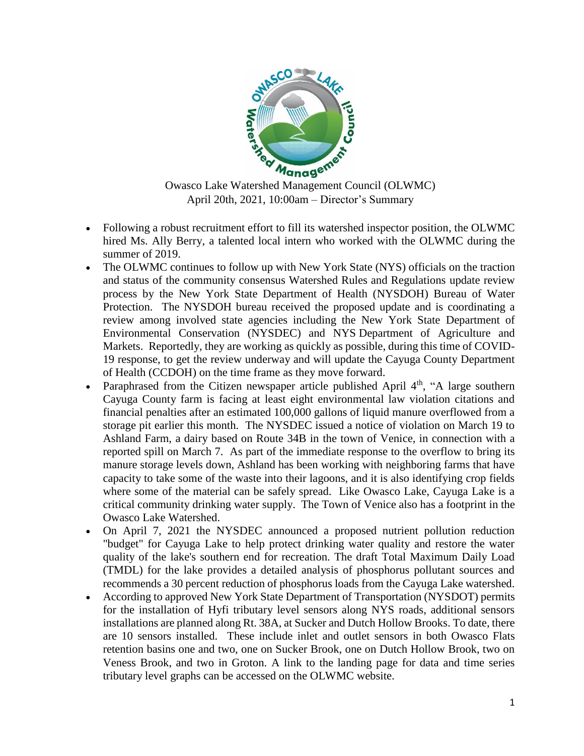

April 20th, 2021, 10:00am – Director's Summary

- Following a robust recruitment effort to fill its watershed inspector position, the OLWMC hired Ms. Ally Berry, a talented local intern who worked with the OLWMC during the summer of 2019.
- The OLWMC continues to follow up with New York State (NYS) officials on the traction and status of the community consensus Watershed Rules and Regulations update review process by the New York State Department of Health (NYSDOH) Bureau of Water Protection. The NYSDOH bureau received the proposed update and is coordinating a review among involved state agencies including the New York State Department of Environmental Conservation (NYSDEC) and NYS Department of Agriculture and Markets. Reportedly, they are working as quickly as possible, during this time of COVID-19 response, to get the review underway and will update the Cayuga County Department of Health (CCDOH) on the time frame as they move forward.
- Paraphrased from the Citizen newspaper article published April  $4<sup>th</sup>$ , "A large southern Cayuga County farm is facing at least eight environmental law violation citations and financial penalties after an estimated 100,000 gallons of liquid manure overflowed from a storage pit earlier this month. The NYSDEC issued a notice of violation on March 19 to Ashland Farm, a dairy based on Route 34B in the town of Venice, in connection with a reported spill on March 7. As part of the immediate response to the overflow to bring its manure storage levels down, Ashland has been working with neighboring farms that have capacity to take some of the waste into their lagoons, and it is also identifying crop fields where some of the material can be safely spread. Like Owasco Lake, Cayuga Lake is a critical community drinking water supply. The Town of Venice also has a footprint in the Owasco Lake Watershed.
- On April 7, 2021 the NYSDEC announced a proposed nutrient pollution reduction "budget" for Cayuga Lake to help protect drinking water quality and restore the water quality of the lake's southern end for recreation. The draft Total Maximum Daily Load (TMDL) for the lake provides a detailed analysis of phosphorus pollutant sources and recommends a 30 percent reduction of phosphorus loads from the Cayuga Lake watershed.
- According to approved New York State Department of Transportation (NYSDOT) permits for the installation of Hyfi tributary level sensors along NYS roads, additional sensors installations are planned along Rt. 38A, at Sucker and Dutch Hollow Brooks. To date, there are 10 sensors installed. These include inlet and outlet sensors in both Owasco Flats retention basins one and two, one on Sucker Brook, one on Dutch Hollow Brook, two on Veness Brook, and two in Groton. A link to the landing page for data and time series tributary level graphs can be accessed on the OLWMC website.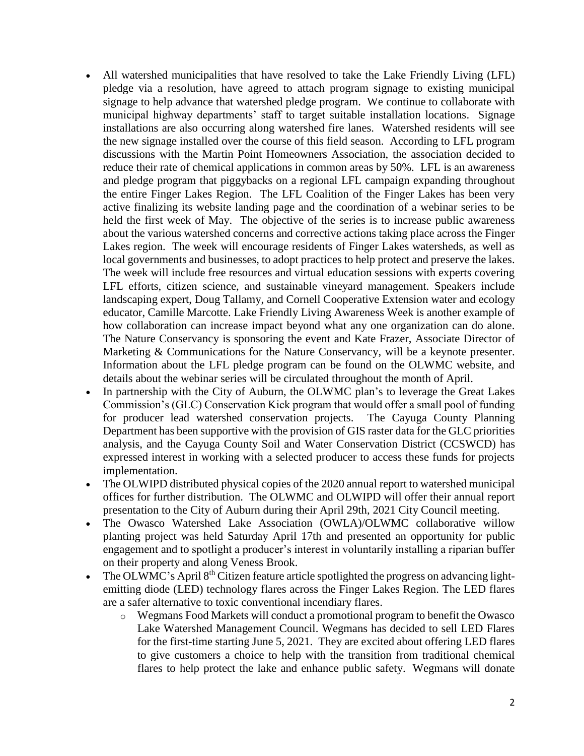- All watershed municipalities that have resolved to take the Lake Friendly Living (LFL) pledge via a resolution, have agreed to attach program signage to existing municipal signage to help advance that watershed pledge program. We continue to collaborate with municipal highway departments' staff to target suitable installation locations. Signage installations are also occurring along watershed fire lanes. Watershed residents will see the new signage installed over the course of this field season. According to LFL program discussions with the Martin Point Homeowners Association, the association decided to reduce their rate of chemical applications in common areas by 50%. LFL is an awareness and pledge program that piggybacks on a regional LFL campaign expanding throughout the entire Finger Lakes Region. The LFL Coalition of the Finger Lakes has been very active finalizing its website landing page and the coordination of a webinar series to be held the first week of May. The objective of the series is to increase public awareness about the various watershed concerns and corrective actions taking place across the Finger Lakes region. The week will encourage residents of Finger Lakes watersheds, as well as local governments and businesses, to adopt practices to help protect and preserve the lakes. The week will include free resources and virtual education sessions with experts covering LFL efforts, citizen science, and sustainable vineyard management. Speakers include landscaping expert, Doug Tallamy, and Cornell Cooperative Extension water and ecology educator, Camille Marcotte. Lake Friendly Living Awareness Week is another example of how collaboration can increase impact beyond what any one organization can do alone. The Nature Conservancy is sponsoring the event and Kate Frazer, Associate Director of Marketing & Communications for the Nature Conservancy, will be a keynote presenter. Information about the LFL pledge program can be found on the OLWMC website, and details about the webinar series will be circulated throughout the month of April.
- In partnership with the City of Auburn, the OLWMC plan's to leverage the Great Lakes Commission's (GLC) Conservation Kick program that would offer a small pool of funding for producer lead watershed conservation projects. The Cayuga County Planning Department has been supportive with the provision of GIS raster data for the GLC priorities analysis, and the Cayuga County Soil and Water Conservation District (CCSWCD) has expressed interest in working with a selected producer to access these funds for projects implementation.
- The OLWIPD distributed physical copies of the 2020 annual report to watershed municipal offices for further distribution. The OLWMC and OLWIPD will offer their annual report presentation to the City of Auburn during their April 29th, 2021 City Council meeting.
- The Owasco Watershed Lake Association (OWLA)/OLWMC collaborative willow planting project was held Saturday April 17th and presented an opportunity for public engagement and to spotlight a producer's interest in voluntarily installing a riparian buffer on their property and along Veness Brook.
- The OLWMC's April  $8<sup>th</sup>$  Citizen feature article spotlighted the progress on advancing lightemitting diode (LED) technology flares across the Finger Lakes Region. The LED flares are a safer alternative to toxic conventional incendiary flares.
	- o Wegmans Food Markets will conduct a promotional program to benefit the Owasco Lake Watershed Management Council. Wegmans has decided to sell LED Flares for the first-time starting June 5, 2021. They are excited about offering LED flares to give customers a choice to help with the transition from traditional chemical flares to help protect the lake and enhance public safety. Wegmans will donate